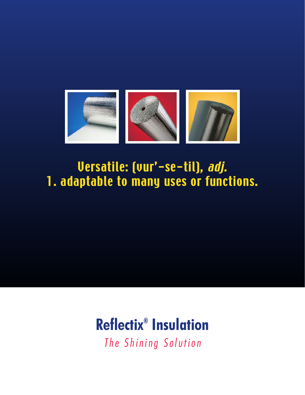

# Versatile: (vur'-se-til), adj. 1. adaptable to many uses or functions.

# **Reflectix ® Insulation**

*The Shining Solut ion*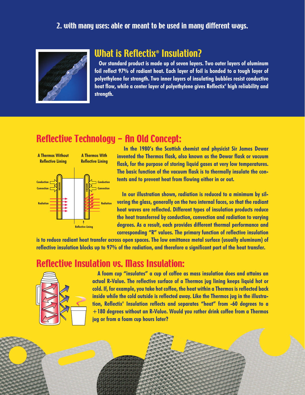#### 2. with many uses: able or meant to be used in many different ways.



#### What is Reflectix® Insulation?

**Our standard product is made up of seven layers. Two outer layers of aluminum foil reflect 97% of radiant heat. Each layer of foil is bonded to a tough layer of polyethylene for strength. Two inner layers of insulating bubbles resist conductive heat flow, while a center layer of polyethylene gives Reflectix ® high reliability and strength.**

## Reflective Technology - An Old Concept:



**In the 1980's the Scottish chemist and physicist Sir James Dewar invented the Thermos flask, also known as the Dewar flask or vacuum flask, for the purpose of storing liquid gases at very low temperatures. The basic function of the vacuum flask is to thermally insulate the contents and to prevent heat from flowing either in or out.**

**In our illustration shown, radiation is reduced to a minimum by silvering the glass, generally on the two internal faces, so that the radiant heat waves are reflected. Different types of insulation products reduce the heat transferred by conduction, convection and radiation to varying degrees. As a result, each provides different thermal performance and corresponding "R" values. The primary function of reflective insulation**

is to reduce radiant heat transfer across open spaces. The low emittance metal surface (usually aluminum) of reflective insulation blocks up to 97% of the radiation, and therefore a significant part of the heat transfer.

#### Reflective Insulation vs. Mass Insulation:



**A foam cup "insulates" a cup of coffee as mass insulation does and attains an actual R-Value. The reflective surface of a Thermos jug lining keeps liquid hot or cold. If, for example,you take hot coffee, the heat within a Thermos is reflected back inside while the cold outside is reflected away. Like the Thermos jug in the illustration, Reflectix ® Insulation reflects and separates "heat" from -60 degrees to a +180 degrees without an R-Value. Would you rather drink coffee from a Thermos jug or from a foam cup hours later?**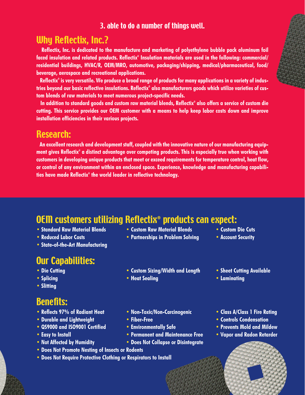#### 3. able to do a number of things well.

#### Why Reflectix, Inc.?

**Reflectix, Inc. is dedicated to the manufacture and marketing of polyethylene bubble pack aluminum foil faced insulation and related products. Reflectix ® Insulation materials are used in the following: commercial/ residential buildings, HVAC/R, OEM/MRO, automotive, packaging/shipping, medical/pharmaceutical, food/ beverage, aerospace and recreational applications.**

Reflectix® is very versatile. We produce a broad range of products for many applications in a variety of industries bevond our basic reflective insulations. Reflectix® also manufacturers aoods which utilize varieties of cus**tom blends of raw materials to meet numerous project-specific needs.**

In addition to standard aoods and custom raw material blends, Reflectix® also offers a service of custom die cutting. This service provides our OEM customer with a means to help keep labor costs down and improve **installation efficiencies in their various projects.**

#### Research:

**An excellent research and development staff, coupled with the innovative nature of our manufacturing equip**ment aives Reflectix® a distinct advantage over competing products. This is especially true when working with **customers in developing unique products that meet or exceed requirements for temperature control, heat flow, or control of any environment within an enclosed space. Experience, knowledge and manufacturing capabilities have made Reflectix ® the world leader in reflective technology.**

## OEM customers utilizing Reflectix® products can expect:

- **• Standard Raw Material Blends • Custom Raw Material Blends • Custom Die Cuts**
- **• Reduced Labor Costs • Partnerships in Problem Solving • Account Security**
- **• State-of-the-Art Manufacturing**

#### Our Capabilities:

- 
- 
- **• Slitting**

#### Benefits:

- **• Reflects 97% of Radiant Heat • Non-Toxic/Non-Carcinogenic • Class A/Class 1 Fire Rating**
- **• Durable and Lightweight • Fiber-Free • Controls Condensation**
- **• QS9000 and ISO9001 Certified • Environmentally Safe • Prevents Mold and Mildew**
- 
- **• Not Affected by Humidity • Does Not Collapse or Disintegrate**
- **• Does Not Promote Nesting of Insects or Rodents**
- **• Does Not Require Protective Clothing or Respirators to Install**
- 
- **• Die Cutting • Custom Sizing/Width and Length • Sheet Cutting Available**
- **• Splicing • Heat Sealing • Laminating**
- 
- -
	-
	-
	-
- **• Easy to Install • Permanent and Maintenance Free • Vapor and Radon Retarder**